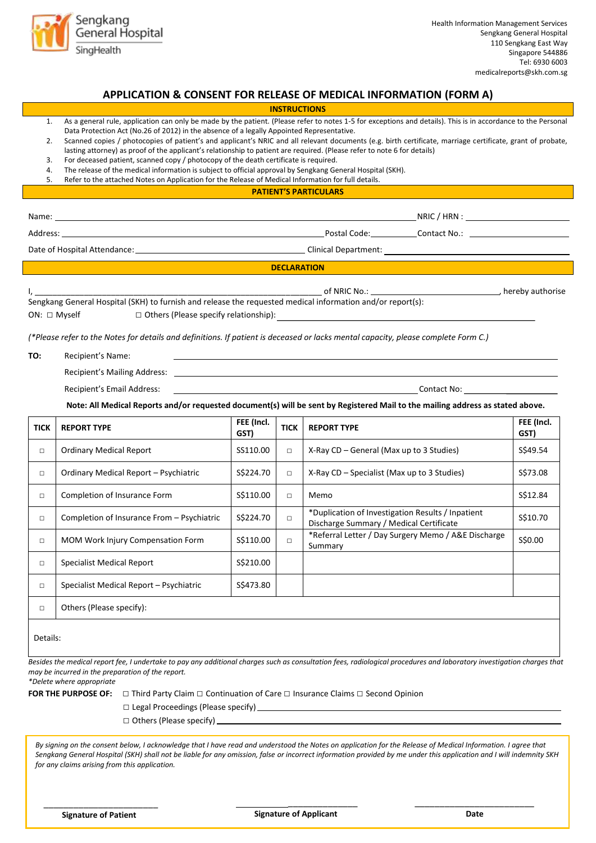

# **APPLICATION & CONSENT FOR RELEASE OF MEDICAL INFORMATION (FORM A)**

|                            |                                                                                                                                                                                                                                                                                                                                                                                                                                                                                                                                    |                    | <b>INSTRUCTIONS</b> |                                                                                                                                                                                                                                                                                                                             |                    |  |
|----------------------------|------------------------------------------------------------------------------------------------------------------------------------------------------------------------------------------------------------------------------------------------------------------------------------------------------------------------------------------------------------------------------------------------------------------------------------------------------------------------------------------------------------------------------------|--------------------|---------------------|-----------------------------------------------------------------------------------------------------------------------------------------------------------------------------------------------------------------------------------------------------------------------------------------------------------------------------|--------------------|--|
| 1.<br>2.<br>3.<br>4.<br>5. | Data Protection Act (No.26 of 2012) in the absence of a legally Appointed Representative.<br>lasting attorney) as proof of the applicant's relationship to patient are required. (Please refer to note 6 for details)<br>For deceased patient, scanned copy / photocopy of the death certificate is required.<br>The release of the medical information is subject to official approval by Sengkang General Hospital (SKH).<br>Refer to the attached Notes on Application for the Release of Medical Information for full details. |                    |                     | As a general rule, application can only be made by the patient. (Please refer to notes 1-5 for exceptions and details). This is in accordance to the Personal<br>Scanned copies / photocopies of patient's and applicant's NRIC and all relevant documents (e.g. birth certificate, marriage certificate, grant of probate, |                    |  |
|                            |                                                                                                                                                                                                                                                                                                                                                                                                                                                                                                                                    |                    |                     | <b>PATIENT'S PARTICULARS</b>                                                                                                                                                                                                                                                                                                |                    |  |
| Name:                      |                                                                                                                                                                                                                                                                                                                                                                                                                                                                                                                                    |                    |                     |                                                                                                                                                                                                                                                                                                                             |                    |  |
|                            |                                                                                                                                                                                                                                                                                                                                                                                                                                                                                                                                    |                    |                     |                                                                                                                                                                                                                                                                                                                             |                    |  |
|                            |                                                                                                                                                                                                                                                                                                                                                                                                                                                                                                                                    |                    |                     |                                                                                                                                                                                                                                                                                                                             |                    |  |
|                            |                                                                                                                                                                                                                                                                                                                                                                                                                                                                                                                                    |                    | <b>DECLARATION</b>  |                                                                                                                                                                                                                                                                                                                             |                    |  |
|                            | Sengkang General Hospital (SKH) to furnish and release the requested medical information and/or report(s):<br>ON: □ Myself                                                                                                                                                                                                                                                                                                                                                                                                         |                    |                     | $\Box$ Others (Please specify relationship): $\Box$<br>(*Please refer to the Notes for details and definitions. If patient is deceased or lacks mental capacity, please complete Form C.)                                                                                                                                   |                    |  |
| TO:                        | Recipient's Name:<br>Recipient's Mailing Address: Law March 2014 19:30 April 2014 12:30 April 2014 12:30 April 2014 12:30                                                                                                                                                                                                                                                                                                                                                                                                          |                    |                     |                                                                                                                                                                                                                                                                                                                             |                    |  |
|                            | Recipient's Email Address:                                                                                                                                                                                                                                                                                                                                                                                                                                                                                                         |                    |                     | Note: All Medical Reports and/or requested document(s) will be sent by Registered Mail to the mailing address as stated above.                                                                                                                                                                                              |                    |  |
|                            | <b>REPORT TYPE</b>                                                                                                                                                                                                                                                                                                                                                                                                                                                                                                                 | FEE (Incl.<br>GST) | <b>TICK</b>         | <b>REPORT TYPE</b>                                                                                                                                                                                                                                                                                                          | FEE (Incl.<br>GST) |  |
| <b>TICK</b><br>$\Box$      | <b>Ordinary Medical Report</b>                                                                                                                                                                                                                                                                                                                                                                                                                                                                                                     | SS110.00           | $\Box$              | X-Ray CD - General (Max up to 3 Studies)                                                                                                                                                                                                                                                                                    | S\$49.54           |  |
| $\Box$                     | Ordinary Medical Report - Psychiatric                                                                                                                                                                                                                                                                                                                                                                                                                                                                                              | S\$224.70          | $\Box$              | X-Ray CD - Specialist (Max up to 3 Studies)                                                                                                                                                                                                                                                                                 | S\$73.08           |  |
| $\Box$                     | Completion of Insurance Form                                                                                                                                                                                                                                                                                                                                                                                                                                                                                                       | S\$110.00          | $\Box$              | Memo                                                                                                                                                                                                                                                                                                                        | S\$12.84           |  |
| $\Box$                     | Completion of Insurance From - Psychiatric                                                                                                                                                                                                                                                                                                                                                                                                                                                                                         | S\$224.70          | $\Box$              | *Duplication of Investigation Results / Inpatient<br>Discharge Summary / Medical Certificate                                                                                                                                                                                                                                | S\$10.70           |  |
| $\Box$                     | MOM Work Injury Compensation Form                                                                                                                                                                                                                                                                                                                                                                                                                                                                                                  | \$\$110.00         | $\Box$              | *Referral Letter / Day Surgery Memo / A&E Discharge<br>Summary                                                                                                                                                                                                                                                              | S\$0.00            |  |
| $\Box$                     | <b>Specialist Medical Report</b>                                                                                                                                                                                                                                                                                                                                                                                                                                                                                                   | S\$210.00          |                     |                                                                                                                                                                                                                                                                                                                             |                    |  |
| $\Box$                     | Specialist Medical Report - Psychiatric                                                                                                                                                                                                                                                                                                                                                                                                                                                                                            | S\$473.80          |                     |                                                                                                                                                                                                                                                                                                                             |                    |  |
| $\Box$                     | Others (Please specify):                                                                                                                                                                                                                                                                                                                                                                                                                                                                                                           |                    |                     |                                                                                                                                                                                                                                                                                                                             |                    |  |

*\*Delete where appropriate* 

- **FOR THE PURPOSE OF:** □ Third Party Claim □ Continuation of Care □ Insurance Claims □ Second Opinion
	- □ Legal Proceedings (Please specify)
	- □ Others (Please specify)

*By signing on the consent below, I acknowledge that I have read and understood the Notes on application for the Release of Medical Information. I agree that Sengkang General Hospital (SKH) shall not be liable for any omission, false or incorrect information provided by me under this application and I will indemnity SKH for any claims arising from this application.*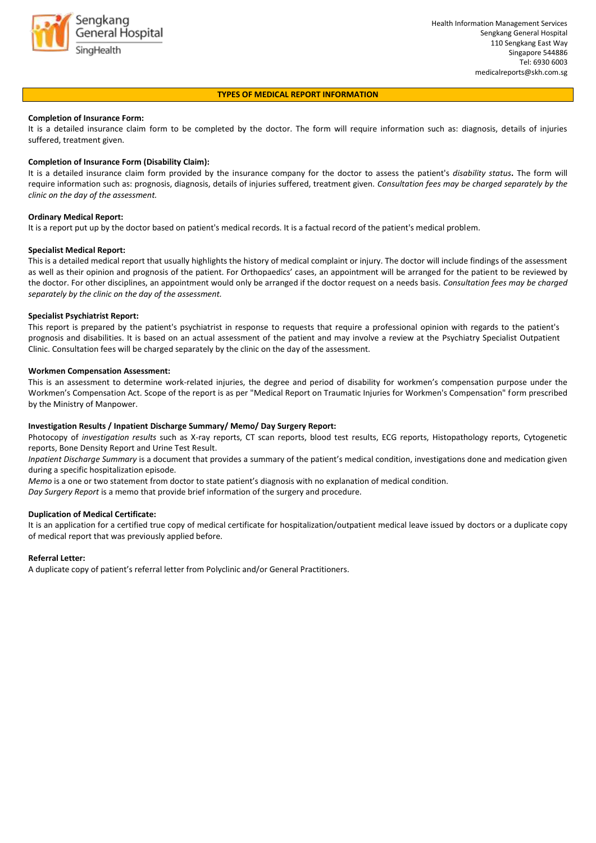

#### **TYPES OF MEDICAL REPORT INFORMATION**

#### **Completion of Insurance Form:**

It is a detailed insurance claim form to be completed by the doctor. The form will require information such as: diagnosis, details of injuries suffered, treatment given.

#### **Completion of Insurance Form (Disability Claim):**

It is a detailed insurance claim form provided by the insurance company for the doctor to assess the patient's *disability status***.** The form will require information such as: prognosis, diagnosis, details of injuries suffered, treatment given. *Consultation fees may be charged separately by the clinic on the day of the assessment.* 

#### **Ordinary Medical Report:**

It is a report put up by the doctor based on patient's medical records. It is a factual record of the patient's medical problem.

#### **Specialist Medical Report:**

This is a detailed medical report that usually highlights the history of medical complaint or injury. The doctor will include findings of the assessment as well as their opinion and prognosis of the patient. For Orthopaedics' cases, an appointment will be arranged for the patient to be reviewed by the doctor. For other disciplines, an appointment would only be arranged if the doctor request on a needs basis. *Consultation fees may be charged separately by the clinic on the day of the assessment.* 

#### **Specialist Psychiatrist Report:**

This report is prepared by the patient's psychiatrist in response to requests that require a professional opinion with regards to the patient's prognosis and disabilities. It is based on an actual assessment of the patient and may involve a review at the Psychiatry Specialist Outpatient Clinic. Consultation fees will be charged separately by the clinic on the day of the assessment.

#### **Workmen Compensation Assessment:**

This is an assessment to determine work-related injuries, the degree and period of disability for workmen's compensation purpose under the Workmen's Compensation Act. Scope of the report is as per "Medical Report on Traumatic Injuries for Workmen's Compensation" form prescribed by the Ministry of Manpower.

#### **Investigation Results / Inpatient Discharge Summary/ Memo/ Day Surgery Report:**

Photocopy of *investigation results* such as X-ray reports, CT scan reports, blood test results, ECG reports, Histopathology reports, Cytogenetic reports, Bone Density Report and Urine Test Result.

*Inpatient Discharge Summary* is a document that provides a summary of the patient's medical condition, investigations done and medication given during a specific hospitalization episode.

*Memo* is a one or two statement from doctor to state patient's diagnosis with no explanation of medical condition.

*Day Surgery Report* is a memo that provide brief information of the surgery and procedure.

#### **Duplication of Medical Certificate:**

It is an application for a certified true copy of medical certificate for hospitalization/outpatient medical leave issued by doctors or a duplicate copy of medical report that was previously applied before.

#### **Referral Letter:**

A duplicate copy of patient's referral letter from Polyclinic and/or General Practitioners.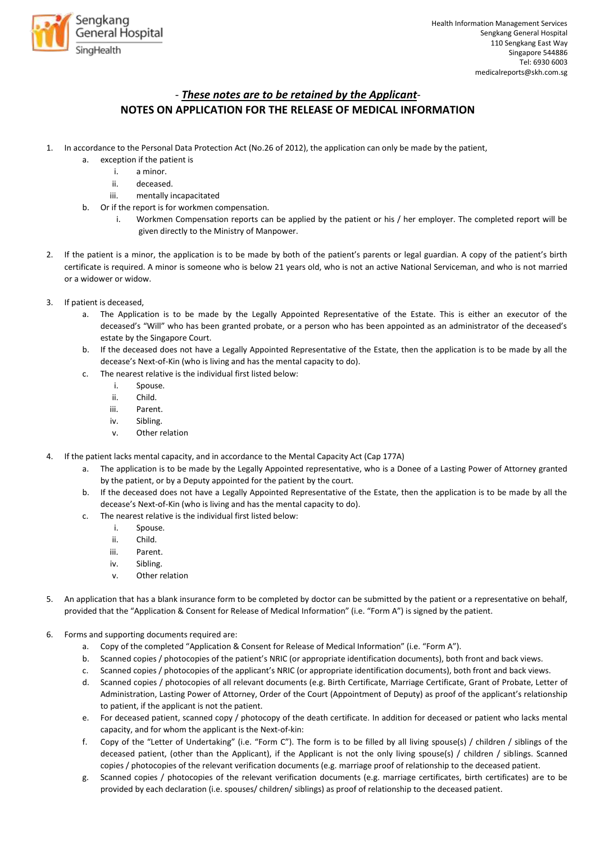

## - *These notes are to be retained by the Applicant*-**NOTES ON APPLICATION FOR THE RELEASE OF MEDICAL INFORMATION**

- 1. In accordance to the Personal Data Protection Act (No.26 of 2012), the application can only be made by the patient,
	- a. exception if the patient is
		- i. a minor.
		- ii. deceased.
		- iii. mentally incapacitated
	- b. Or if the report is for workmen compensation.
		- i. Workmen Compensation reports can be applied by the patient or his / her employer. The completed report will be given directly to the Ministry of Manpower.
- 2. If the patient is a minor, the application is to be made by both of the patient's parents or legal guardian. A copy of the patient's birth certificate is required. A minor is someone who is below 21 years old, who is not an active National Serviceman, and who is not married or a widower or widow.
- 3. If patient is deceased,
	- a. The Application is to be made by the Legally Appointed Representative of the Estate. This is either an executor of the deceased's "Will" who has been granted probate, or a person who has been appointed as an administrator of the deceased's estate by the Singapore Court.
	- b. If the deceased does not have a Legally Appointed Representative of the Estate, then the application is to be made by all the decease's Next-of-Kin (who is living and has the mental capacity to do).
	- c. The nearest relative is the individual first listed below:
		- i. Spouse.
		- ii. Child.
		- iii. Parent.
		- iv. Sibling.
		- v. Other relation
- 4. If the patient lacks mental capacity, and in accordance to the Mental Capacity Act (Cap 177A)
	- a. The application is to be made by the Legally Appointed representative, who is a Donee of a Lasting Power of Attorney granted by the patient, or by a Deputy appointed for the patient by the court.
	- b. If the deceased does not have a Legally Appointed Representative of the Estate, then the application is to be made by all the decease's Next-of-Kin (who is living and has the mental capacity to do).
	- c. The nearest relative is the individual first listed below:
		- i. Spouse.
		- ii. Child.
		- iii. Parent.
		- iv. Sibling.
		- v. Other relation
- 5. An application that has a blank insurance form to be completed by doctor can be submitted by the patient or a representative on behalf, provided that the "Application & Consent for Release of Medical Information" (i.e. "Form A") is signed by the patient.
- 6. Forms and supporting documents required are:
	- a. Copy of the completed "Application & Consent for Release of Medical Information" (i.e. "Form A").
	- b. Scanned copies / photocopies of the patient's NRIC (or appropriate identification documents), both front and back views.
	- c. Scanned copies / photocopies of the applicant's NRIC (or appropriate identification documents), both front and back views.
	- d. Scanned copies / photocopies of all relevant documents (e.g. Birth Certificate, Marriage Certificate, Grant of Probate, Letter of Administration, Lasting Power of Attorney, Order of the Court (Appointment of Deputy) as proof of the applicant's relationship to patient, if the applicant is not the patient.
	- e. For deceased patient, scanned copy / photocopy of the death certificate. In addition for deceased or patient who lacks mental capacity, and for whom the applicant is the Next-of-kin:
	- f. Copy of the "Letter of Undertaking" (i.e. "Form C"). The form is to be filled by all living spouse(s) / children / siblings of the deceased patient, (other than the Applicant), if the Applicant is not the only living spouse(s) / children / siblings. Scanned copies / photocopies of the relevant verification documents (e.g. marriage proof of relationship to the deceased patient.
	- g. Scanned copies / photocopies of the relevant verification documents (e.g. marriage certificates, birth certificates) are to be provided by each declaration (i.e. spouses/ children/ siblings) as proof of relationship to the deceased patient.